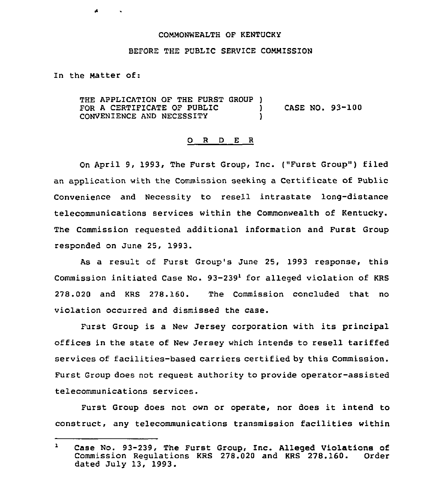## COMMONWEALTH OF KENTUCKY

## BEFORE THE PUBLIC SERVICE COMMISSION

In the Natter of:

 $\blacktriangle$ 

 $\sim$ 

THE APPLICATION OF THE FURST GROUP )<br>FOR A CERTIFICATE OF PUBLIC FOR A CERTIFICATE OF PUBLIC  $\begin{array}{ccc} & & \\ \text{OR} & & \\ \text{CONVENINENCE AND NECESSITY} & & \\ \end{array}$ CONVENIENCE AND NECESSITY )

## 0 <sup>R</sup> <sup>D</sup> <sup>E</sup> <sup>R</sup>

On April 9, 1993, The Furst Group, Inc. ("Furst Group") filed an application with the Commission seeking a Certificate of Public Convenience and Necessity to resell intrastate long-distance telecommunications services within the Commonwealth of Kentucky. The Commission requested additional information and Furst Group responded on June 25, 1993.

As a result of Furst Group's June 25, 1993 response, this Commission initiated Case No.  $93-239<sup>1</sup>$  for alleged violation of KRS 278.020 and KRS 278.160. The Commission concluded that no violation occurred and dismissed the case.

Furst Group is a New Jersey corporation with its principal offices in the state of New Jersey which intends to resell tariffed services of facilities-based carriers certified by this Commission. Furst Group does not request authority to provide operator-assisted telecommunications services.

Furst Group does not own or operate, nor does it intend to construct, any telecommunications transmission facilities within

 $\mathbf{r}$ case No. 93-239, The Furst Group, Inc. Alleged violations of Commission Regulations KRS 278.020 and KRS 278.160. dated July 13, 1993.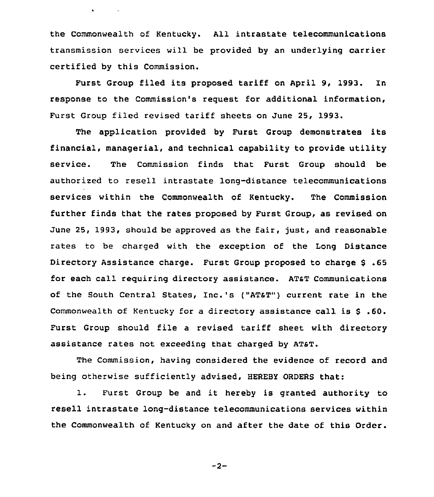the Commonwealth of Kentucky. All intrastate telecommunications transmission services will be provided by an underlying carrier certified by this Commission.

 $\bullet$  . The second second  $\bullet$ 

Furst Group filed its proposed tariff on April 9, 1993. In response to the Commission's request for additional information, Furst Group filed revised tariff sheets on June 25, 1993.

The application provided by Furst Group demonstrates its financial, managerial, and technical capability to provide utility service. The Commission finds that Furst Group should be authorized to resell intrastate long-distance telecommunications services within the Commonwealth of Kentucky. The Commission further finds that the rates proposed by Furst Group, as revised on June 25, 1993, should be approved as the fair, just, and reasonable rates to be charged with the exception of the Long Distance Directory Assistance charge. Furst Group proposed to charge \$ .65 for each call requiring directory assistance. ATsT Communications of the south central states, Inc.'s ("ATsT") current rate in the Commonwealth of Kentucky for <sup>a</sup> directory assistance call is \$ .60. Furst Group should file a revised tariff sheet with directory assistance rates not exceeding that charged by ATST.

The Commission, having considered the evidence of record and being otherwise sufficiently advised, HEREBY ORDERS that:

1. Furst Group be and it hereby is granted authority to resell intrastate long-distance telecommunications services within the Commonwealth of Kentucky on and after the date of this Order.

 $-2-$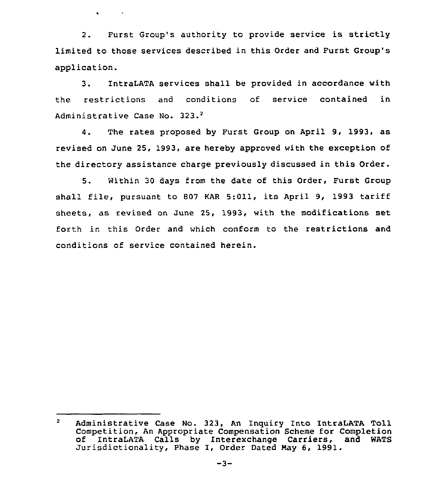2. Furst Group's authority to provide service is strictly limited to those services described in this Order and Furst Group's application.

 $\mathbf{A}^{(n)}$  and  $\mathbf{A}^{(n)}$  . In the  $\mathbf{A}^{(n)}$ 

3. IntraLATA services shall be provided in accordance with the restrictions and conditions of service contained in Administrative Case No. 323.<sup>2</sup>

 $\Delta$ . The rates proposed by Furst Group on April 9, 1993, as revised on June 25, 1993, are hereby approved with the exception of the directory assistance charge previously discussed in this Order.

5. Within <sup>30</sup> days from the date of this Order, Furst Group shall file, pursuant to <sup>807</sup> KAR 5:011, its April 9, 1993 tariff sheets, as revised on June 25, 1993, with the modifications set forth in this Order and which conform to the restrictions and conditions of service contained herein.

 $\overline{2}$ Administrative Case No. 323, An Inquiry Into IntraLATA Toll Competition, An Appropriate Compensation Scheme for Completion of IntraLATA Calls by Interexchange Carriers, and WATS Jurisdictionality, Phase I, Order Dated Nay 6, 1991.